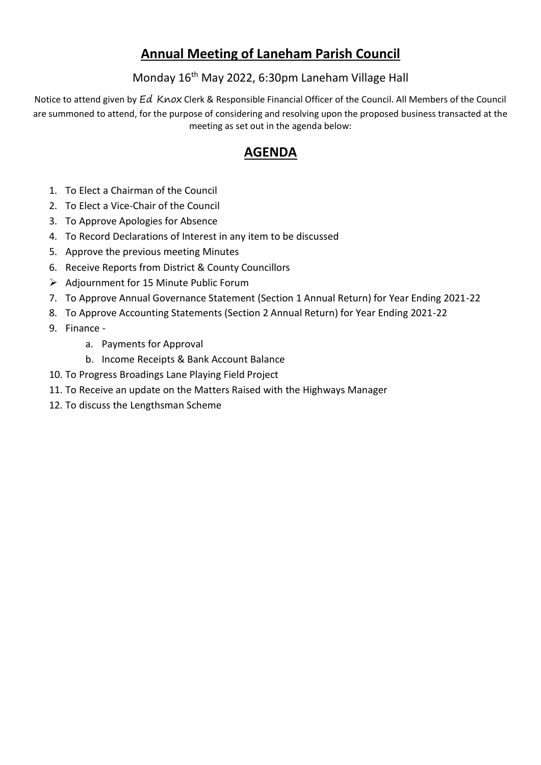# **Annual Meeting of Laneham Parish Council**

### Monday 16<sup>th</sup> May 2022, 6:30pm Laneham Village Hall

Notice to attend given by Ed Knox Clerk & Responsible Financial Officer of the Council. All Members of the Council are summoned to attend, for the purpose of considering and resolving upon the proposed business transacted at the meeting as set out in the agenda below:

## **AGENDA**

- 1. To Elect a Chairman of the Council
- 2. To Elect a Vice-Chair of the Council
- 3. To Approve Apologies for Absence
- 4. To Record Declarations of Interest in any item to be discussed
- 5. Approve the previous meeting Minutes
- 6. Receive Reports from District & County Councillors
- ➢ Adjournment for 15 Minute Public Forum
- 7. To Approve Annual Governance Statement (Section 1 Annual Return) for Year Ending 2021-22
- 8. To Approve Accounting Statements (Section 2 Annual Return) for Year Ending 2021-22
- 9. Finance
	- a. Payments for Approval
	- b. Income Receipts & Bank Account Balance
- 10. To Progress Broadings Lane Playing Field Project
- 11. To Receive an update on the Matters Raised with the Highways Manager
- 12. To discuss the Lengthsman Scheme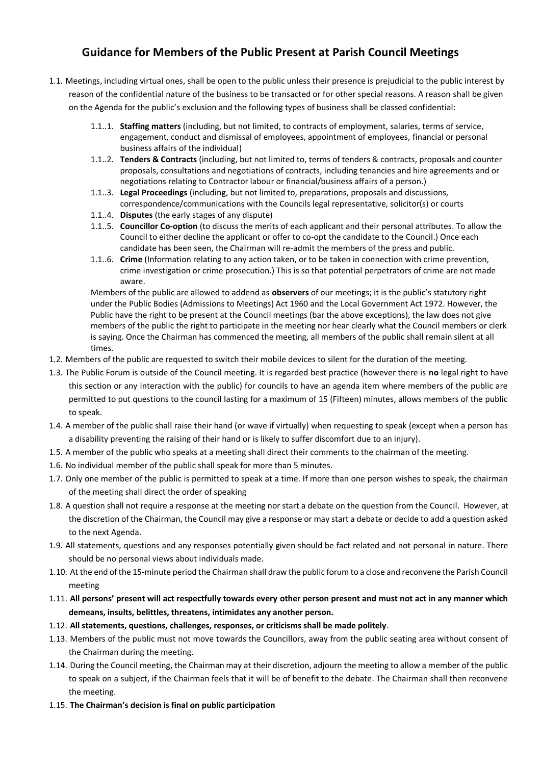#### **Guidance for Members of the Public Present at Parish Council Meetings**

- 1.1. Meetings, including virtual ones, shall be open to the public unless their presence is prejudicial to the public interest by reason of the confidential nature of the business to be transacted or for other special reasons. A reason shall be given on the Agenda for the public's exclusion and the following types of business shall be classed confidential:
	- 1.1..1. **Staffing matters** (including, but not limited, to contracts of employment, salaries, terms of service, engagement, conduct and dismissal of employees, appointment of employees, financial or personal business affairs of the individual)
	- 1.1..2. **Tenders & Contracts** (including, but not limited to, terms of tenders & contracts, proposals and counter proposals, consultations and negotiations of contracts, including tenancies and hire agreements and or negotiations relating to Contractor labour or financial/business affairs of a person.)
	- 1.1..3. **Legal Proceedings** (including, but not limited to, preparations, proposals and discussions, correspondence/communications with the Councils legal representative, solicitor(s) or courts
	- 1.1..4. **Disputes** (the early stages of any dispute)
	- 1.1..5. **Councillor Co-option** (to discuss the merits of each applicant and their personal attributes. To allow the Council to either decline the applicant or offer to co-opt the candidate to the Council.) Once each candidate has been seen, the Chairman will re-admit the members of the press and public.
	- 1.1..6. **Crime** (Information relating to any action taken, or to be taken in connection with crime prevention, crime investigation or crime prosecution.) This is so that potential perpetrators of crime are not made aware.

Members of the public are allowed to addend as **observers** of our meetings; it is the public's statutory right under the Public Bodies (Admissions to Meetings) Act 1960 and the Local Government Act 1972. However, the Public have the right to be present at the Council meetings (bar the above exceptions), the law does not give members of the public the right to participate in the meeting nor hear clearly what the Council members or clerk is saying. Once the Chairman has commenced the meeting, all members of the public shall remain silent at all times.

- 1.2. Members of the public are requested to switch their mobile devices to silent for the duration of the meeting.
- 1.3. The Public Forum is outside of the Council meeting. It is regarded best practice (however there is **no** legal right to have this section or any interaction with the public) for councils to have an agenda item where members of the public are permitted to put questions to the council lasting for a maximum of 15 (Fifteen) minutes, allows members of the public to speak.
- 1.4. A member of the public shall raise their hand (or wave if virtually) when requesting to speak (except when a person has a disability preventing the raising of their hand or is likely to suffer discomfort due to an injury).
- 1.5. A member of the public who speaks at a meeting shall direct their comments to the chairman of the meeting.
- 1.6. No individual member of the public shall speak for more than 5 minutes.
- 1.7. Only one member of the public is permitted to speak at a time. If more than one person wishes to speak, the chairman of the meeting shall direct the order of speaking
- 1.8. A question shall not require a response at the meeting nor start a debate on the question from the Council. However, at the discretion of the Chairman, the Council may give a response or may start a debate or decide to add a question asked to the next Agenda.
- 1.9. All statements, questions and any responses potentially given should be fact related and not personal in nature. There should be no personal views about individuals made.
- 1.10. At the end of the 15-minute period the Chairman shall draw the public forum to a close and reconvene the Parish Council meeting
- 1.11. **All persons' present will act respectfully towards every other person present and must not act in any manner which demeans, insults, belittles, threatens, intimidates any another person.**
- 1.12. **All statements, questions, challenges, responses, or criticisms shall be made politely**.
- 1.13. Members of the public must not move towards the Councillors, away from the public seating area without consent of the Chairman during the meeting.
- 1.14. During the Council meeting, the Chairman may at their discretion, adjourn the meeting to allow a member of the public to speak on a subject, if the Chairman feels that it will be of benefit to the debate. The Chairman shall then reconvene the meeting.
- 1.15. **The Chairman's decision is final on public participation**